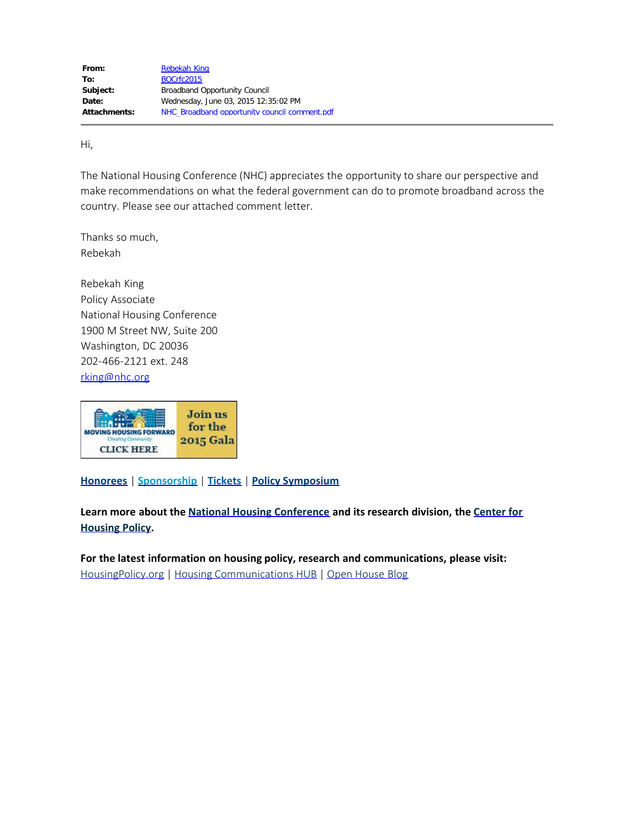Hi,

The National Housing Conference (NHC) appreciates the opportunity to share our perspective and make recommendations on what the federal government can do to promote broadband across the country. Please see our attached comment letter.

Thanks so much, Rebekah

Rebekah King Policy Associate National Housing Conference 1900 M Street NW, Suite 200 Washington, DC 20036 202-466-2121 ext. 248 [rking@nhc.org](mailto:rking@nhc.org)



**[Honorees](http://www.nhc.org/2015-Gala-Honorees.html)** | **[Sponsorship](http://www.nhc.org/2015-Gala-Sponsors.html)** | **[Tickets](https://invest.nhc.org/form/attend-and-sponsor-2015-gala)** | **[Policy Symposium](http://www.nhc.org/2015-Policy-Symposium.html)**

**Learn more about the [National Housing Conference](http://www.nhc.org/about/NHC-Mission-Goals.html) and its research division, the [Center for](http://www.nhc.org/about/Center-Mission-Goals.html) [Housing Policy](http://www.nhc.org/about/Center-Mission-Goals.html).**

**For the latest information on housing policy, research and communications, please visit:** [HousingPolicy.org](http://www.housingpolicy.org/) | Housing [Communications](http://hub.nhc.org/) HUB | Open [House](http://www.nhcopenhouse.org/) Blog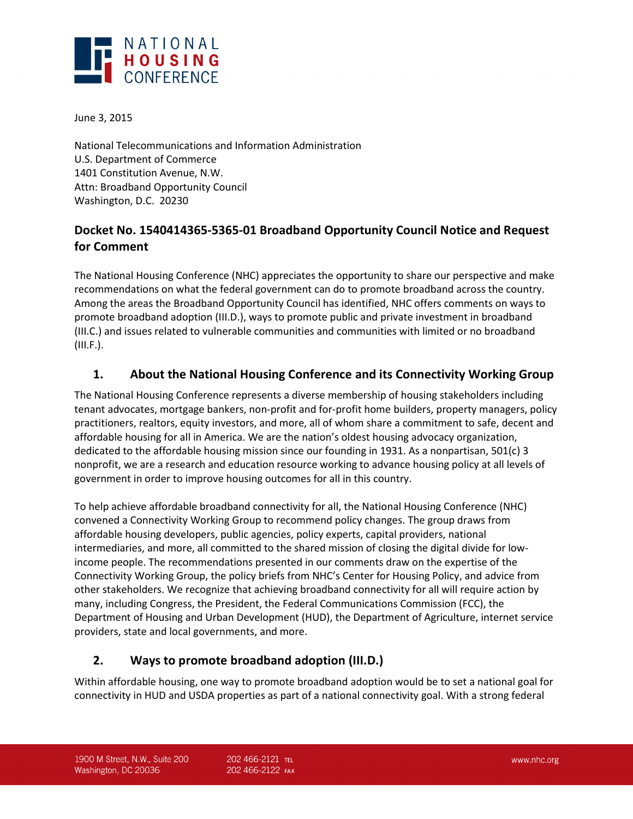

June 3, 2015

National Telecommunications and Information Administration U.S. Department of Commerce 1401 Constitution Avenue, N.W. Attn: Broadband Opportunity Council Washington, D.C. 20230

# **Docket No. 1540414365-5365-01 Broadband Opportunity Council Notice and Request for Comment**

The National Housing Conference (NHC) appreciates the opportunity to share our perspective and make recommendations on what the federal government can do to promote broadband across the country. Among the areas the Broadband Opportunity Council has identified, NHC offers comments on ways to promote broadband adoption (III.D.), ways to promote public and private investment in broadband (III.C.) and issues related to vulnerable communities and communities with limited or no broadband (III.F.).

# **1. About the National Housing Conference and its Connectivity Working Group**

The National Housing Conference represents a diverse membership of housing stakeholders including tenant advocates, mortgage bankers, non-profit and for-profit home builders, property managers, policy practitioners, realtors, equity investors, and more, all of whom share a commitment to safe, decent and affordable housing for all in America. We are the nation's oldest housing advocacy organization, dedicated to the affordable housing mission since our founding in 1931. As a nonpartisan, 501(c) 3 nonprofit, we are a research and education resource working to advance housing policy at all levels of government in order to improve housing outcomes for all in this country.

To help achieve affordable broadband connectivity for all, the National Housing Conference (NHC) convened a Connectivity Working Group to recommend policy changes. The group draws from affordable housing developers, public agencies, policy experts, capital providers, national intermediaries, and more, all committed to the shared mission of closing the digital divide for lowincome people. The recommendations presented in our comments draw on the expertise of the Connectivity Working Group, the policy briefs from NHC's Center for Housing Policy, and advice from other stakeholders. We recognize that achieving broadband connectivity for all will require action by many, including Congress, the President, the Federal Communications Commission (FCC), the Department of Housing and Urban Development (HUD), the Department of Agriculture, internet service providers, state and local governments, and more.

### **2. Ways to promote broadband adoption (III.D.)**

Within affordable housing, one way to promote broadband adoption would be to set a national goal for connectivity in HUD and USDA properties as part of a national connectivity goal. With a strong federal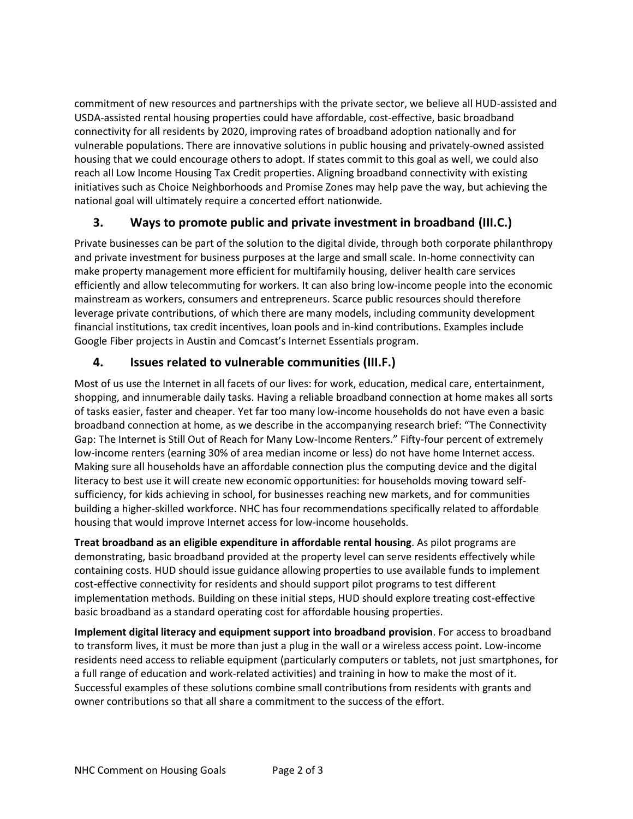commitment of new resources and partnerships with the private sector, we believe all HUD-assisted and USDA-assisted rental housing properties could have affordable, cost-effective, basic broadband connectivity for all residents by 2020, improving rates of broadband adoption nationally and for vulnerable populations. There are innovative solutions in public housing and privately-owned assisted housing that we could encourage others to adopt. If states commit to this goal as well, we could also reach all Low Income Housing Tax Credit properties. Aligning broadband connectivity with existing initiatives such as Choice Neighborhoods and Promise Zones may help pave the way, but achieving the national goal will ultimately require a concerted effort nationwide.

# **3. Ways to promote public and private investment in broadband (III.C.)**

Private businesses can be part of the solution to the digital divide, through both corporate philanthropy and private investment for business purposes at the large and small scale. In-home connectivity can make property management more efficient for multifamily housing, deliver health care services efficiently and allow telecommuting for workers. It can also bring low-income people into the economic mainstream as workers, consumers and entrepreneurs. Scarce public resources should therefore leverage private contributions, of which there are many models, including community development financial institutions, tax credit incentives, loan pools and in-kind contributions. Examples include Google Fiber projects in Austin and Comcast's Internet Essentials program.

# **4. Issues related to vulnerable communities (III.F.)**

Most of us use the Internet in all facets of our lives: for work, education, medical care, entertainment, shopping, and innumerable daily tasks. Having a reliable broadband connection at home makes all sorts of tasks easier, faster and cheaper. Yet far too many low-income households do not have even a basic broadband connection at home, as we describe in the accompanying research brief: "The Connectivity Gap: The Internet is Still Out of Reach for Many Low-Income Renters." Fifty-four percent of extremely low-income renters (earning 30% of area median income or less) do not have home Internet access. Making sure all households have an affordable connection plus the computing device and the digital literacy to best use it will create new economic opportunities: for households moving toward selfsufficiency, for kids achieving in school, for businesses reaching new markets, and for communities building a higher-skilled workforce. NHC has four recommendations specifically related to affordable housing that would improve Internet access for low-income households.

**Treat broadband as an eligible expenditure in affordable rental housing**. As pilot programs are demonstrating, basic broadband provided at the property level can serve residents effectively while containing costs. HUD should issue guidance allowing properties to use available funds to implement cost-effective connectivity for residents and should support pilot programs to test different implementation methods. Building on these initial steps, HUD should explore treating cost-effective basic broadband as a standard operating cost for affordable housing properties.

**Implement digital literacy and equipment support into broadband provision**. For access to broadband to transform lives, it must be more than just a plug in the wall or a wireless access point. Low-income residents need access to reliable equipment (particularly computers or tablets, not just smartphones, for a full range of education and work-related activities) and training in how to make the most of it. Successful examples of these solutions combine small contributions from residents with grants and owner contributions so that all share a commitment to the success of the effort.